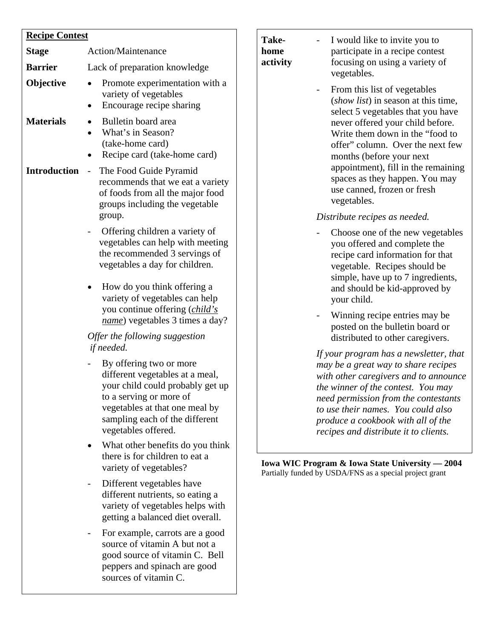## **Recipe Contest Stage** Action/Maintenance **Barrier** Lack of preparation knowledge **Objective •** Promote experimentation with a variety of vegetables • Encourage recipe sharing **Materials** • Bulletin board area • What's in Season? (take-home card) • Recipe card (take-home card) **Introduction** *-* The Food Guide Pyramid recommends that we eat a variety of foods from all the major food groups including the vegetable group. *-* Offering children a variety of vegetables can help with meeting the recommended 3 servings of vegetables a day for children. • How do you think offering a variety of vegetables can help you continue offering (*child's name*) vegetables 3 times a day? *Offer the following suggestion if needed.*  - By offering two or more different vegetables at a meal, your child could probably get up to a serving or more of vegetables at that one meal by sampling each of the different vegetables offered. • What other benefits do you think there is for children to eat a variety of vegetables? Different vegetables have different nutrients, so eating a variety of vegetables helps with getting a balanced diet overall. - For example, carrots are a good source of vitamin A but not a

good source of vitamin C. Bell peppers and spinach are good sources of vitamin C.

**home activity**   $-$ 

- participate in a recipe contest focusing on using a variety of vegetables. **Take-** I would like to invite you to
	- From this list of vegetables (show list) in season at this time, select 5 vegetables that you have never offered your child before. Write them down in the "food to appointment), fill in the remaining spaces as they happen. You may u se canned, frozen or fresh offer" column. Over the next few months (before your next vegetables.

### *Dis tribute recipes as needed.*

- y ou offered and complete the r ecipe card information for that v egetable. Recipes should be s imple, have up to 7 ingredients, and should be kid-approved by Choose one of the new vegetables your child.
- Winning recipe entries may be posted on the bulletin board or distributed to other caregivers.

*If your program has a newsletter, that may be a great way to share recipes with other caregivers and to announce the winner of the contest. You may need permission from the contestants to use their names. You could also produce a cookbook with all of the recipes and distribute it to clients.* 

**Iowa WIC Program & Iowa State University — 2004** Partially funded by US DA/FNS as a special project grant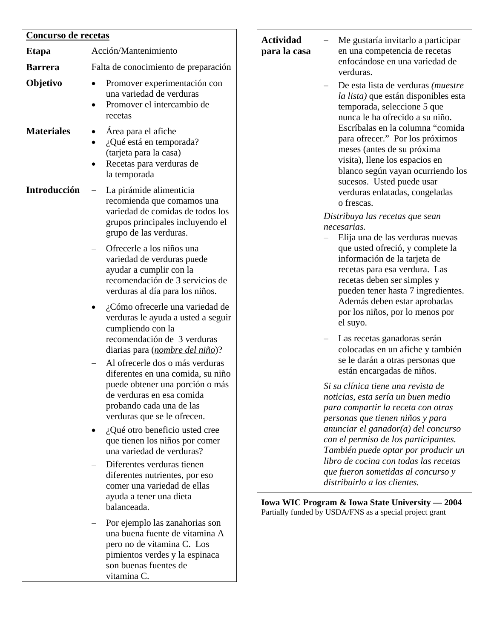| Concurso de recetas |                                                                                                                                                                                                 |  |  |
|---------------------|-------------------------------------------------------------------------------------------------------------------------------------------------------------------------------------------------|--|--|
| Etapa               | Acción/Mantenimiento                                                                                                                                                                            |  |  |
| <b>Barrera</b>      | Falta de conocimiento de preparación                                                                                                                                                            |  |  |
| Objetivo            | Promover experimentación con<br>una variedad de verduras<br>Promover el intercambio de<br>recetas                                                                                               |  |  |
| <b>Materiales</b>   | Área para el afiche<br>¿Qué está en temporada?<br>(tarjeta para la casa)<br>Recetas para verduras de<br>la temporada                                                                            |  |  |
| Introducción        | La pirámide alimenticia<br>recomienda que comamos una<br>variedad de comidas de todos los<br>grupos principales incluyendo el<br>grupo de las verduras.                                         |  |  |
|                     | Ofrecerle a los niños una<br>variedad de verduras puede<br>ayudar a cumplir con la<br>recomendación de 3 servicios de<br>verduras al día para los niños.                                        |  |  |
|                     | ¿Cómo ofrecerle una variedad de<br>verduras le ayuda a usted a seguir<br>cumpliendo con la<br>recomendación de 3 verduras<br>diarias para ( <i>nombre del niño</i> )?                           |  |  |
|                     | Al ofrecerle dos o más verduras<br>diferentes en una comida, su niño<br>puede obtener una porción o más<br>de verduras en esa comida<br>probando cada una de las<br>verduras que se le ofrecen. |  |  |
|                     | ¿Qué otro beneficio usted cree<br>que tienen los niños por comer<br>una variedad de verduras?                                                                                                   |  |  |
|                     | Diferentes verduras tienen<br>diferentes nutrientes, por eso<br>comer una variedad de ellas<br>ayuda a tener una dieta<br>balanceada.                                                           |  |  |
|                     | Por ejemplo las zanahorias son<br>una buena fuente de vitamina A<br>pero no de vitamina C. Los<br>pimientos verdes y la espinaca<br>son buenas fuentes de<br>vitamina C.                        |  |  |

| <b>Actividad</b><br>para la casa | Me gustaría invitarlo a participar<br>en una competencia de recetas<br>enfocándose en una variedad de<br>verduras.<br>De esta lista de verduras ( <i>muestre</i><br>la lista) que están disponibles esta<br>temporada, seleccione 5 que<br>nunca le ha ofrecido a su niño.<br>Escríbalas en la columna "comida<br>para ofrecer." Por los próximos<br>meses (antes de su próxima<br>visita), llene los espacios en<br>blanco según vayan ocurriendo los<br>sucesos. Usted puede usar<br>verduras enlatadas, congeladas<br>o frescas. |
|----------------------------------|-------------------------------------------------------------------------------------------------------------------------------------------------------------------------------------------------------------------------------------------------------------------------------------------------------------------------------------------------------------------------------------------------------------------------------------------------------------------------------------------------------------------------------------|
|                                  | Distribuya las recetas que sean<br>necesarias.<br>Elija una de las verduras nuevas<br>que usted ofreció, y complete la<br>información de la tarjeta de<br>recetas para esa verdura. Las<br>recetas deben ser simples y<br>pueden tener hasta 7 ingredientes.<br>Además deben estar aprobadas<br>por los niños, por lo menos por<br>el suyo.                                                                                                                                                                                         |
|                                  | Las recetas ganadoras serán<br>colocadas en un afiche y también<br>se le darán a otras personas que<br>están encargadas de niños.                                                                                                                                                                                                                                                                                                                                                                                                   |
|                                  | Si su clínica tiene una revista de<br>noticias, esta sería un buen medio<br>para compartir la receta con otras<br>personas que tienen niños y para<br>anunciar el ganador(a) del concurso<br>con el permiso de los participantes.<br>También puede optar por producir un                                                                                                                                                                                                                                                            |

*libro de cocina con todas las recetas que fueron sometidas al concurso y distribuirlo a los clientes.* 

**Iowa WIC Program & Iowa State University — 2004**  Partially funded by USDA/FNS as a special project grant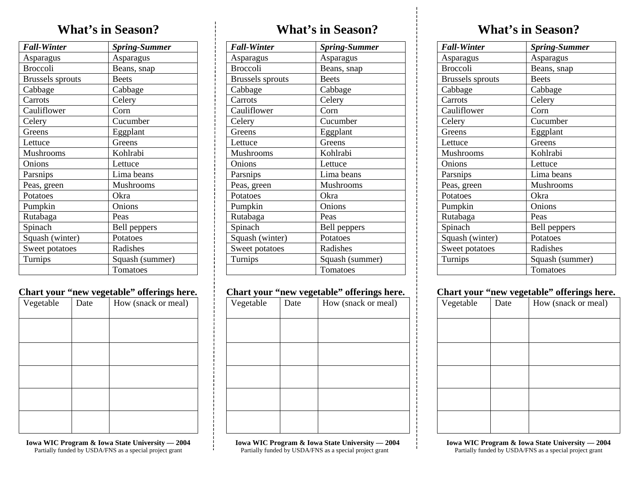## **What's in Season?**

| <b>Fall-Winter</b>      | <b>Spring-Summer</b> |
|-------------------------|----------------------|
| Asparagus               | Asparagus            |
| <b>Broccoli</b>         | Beans, snap          |
| <b>Brussels</b> sprouts | <b>Beets</b>         |
| Cabbage                 | Cabbage              |
| Carrots                 | Celery               |
| Cauliflower             | Corn                 |
| Celery                  | Cucumber             |
| Greens                  | Eggplant             |
| Lettuce                 | Greens               |
| Mushrooms               | Kohlrabi             |
| Onions                  | Lettuce              |
| Parsnips                | Lima beans           |
| Peas, green             | Mushrooms            |
| Potatoes                | Okra                 |
| Pumpkin                 | Onions               |
| Rutabaga                | Peas                 |
| Spinach                 | <b>Bell</b> peppers  |
| Squash (winter)         | Potatoes             |
| Sweet potatoes          | Radishes             |
| Turnips                 | Squash (summer)      |
|                         | Tomatoes             |

#### **Chart your "new vegetable" offerings here.**

| Vegetable | ັ<br>Date | How (snack or meal) |
|-----------|-----------|---------------------|
|           |           |                     |
|           |           |                     |
|           |           |                     |
|           |           |                     |
|           |           |                     |

**Iowa WIC Program & Iowa State University — 2004**  Partially funded by USDA/FNS as a special project grant

## **What's in Season?**

| <b>Fall-Winter</b>      | <b>Spring-Summer</b> |
|-------------------------|----------------------|
| Asparagus               | Asparagus            |
| <b>Broccoli</b>         | Beans, snap          |
| <b>Brussels</b> sprouts | <b>Beets</b>         |
| Cabbage                 | Cabbage              |
| Carrots                 | Celery               |
| Cauliflower             | Corn                 |
| Celery                  | Cucumber             |
| Greens                  | Eggplant             |
| Lettuce                 | Greens               |
| Mushrooms               | Kohlrabi             |
| Onions                  | Lettuce              |
| Parsnips                | Lima beans           |
| Peas, green             | Mushrooms            |
| Potatoes                | Okra                 |
| Pumpkin                 | Onions               |
| Rutabaga                | Peas                 |
| Spinach                 | Bell peppers         |
| Squash (winter)         | Potatoes             |
| Sweet potatoes          | Radishes             |
| Turnips                 | Squash (summer)      |
|                         | Tomatoes             |

#### **Chart your "new vegetable" offerings here.**

| J         | - <del>o</del> | ರ್                  |
|-----------|----------------|---------------------|
| Vegetable | Date           | How (snack or meal) |
|           |                |                     |
|           |                |                     |
|           |                |                     |
|           |                |                     |
|           |                |                     |
|           |                |                     |
|           |                |                     |

 **Iowa WIC Program & Iowa State University — 2004**  Partially funded by USDA/FNS as a special project grant

## **What's in Season?**

| <b>Fall-Winter</b>      | <b>Spring-Summer</b> |
|-------------------------|----------------------|
| Asparagus               | Asparagus            |
| <b>Broccoli</b>         | Beans, snap          |
| <b>Brussels</b> sprouts | <b>Beets</b>         |
| Cabbage                 | Cabbage              |
| Carrots                 | Celery               |
| Cauliflower             | Corn                 |
| Celery                  | Cucumber             |
| Greens                  | Eggplant             |
| Lettuce                 | Greens               |
| Mushrooms               | Kohlrabi             |
| Onions                  | Lettuce              |
| Parsnips                | Lima beans           |
| Peas, green             | Mushrooms            |
| Potatoes                | Okra                 |
| Pumpkin                 | Onions               |
| Rutabaga                | Peas                 |
| Spinach                 | Bell peppers         |
| Squash (winter)         | Potatoes             |
| Sweet potatoes          | Radishes             |
| Turnips                 | Squash (summer)      |
|                         | Tomatoes             |

#### **Chart your "new vegetable" offerings here.**

| Vegetable | Date | How (snack or meal) |
|-----------|------|---------------------|
|           |      |                     |
|           |      |                     |
|           |      |                     |
|           |      |                     |
|           |      |                     |

**Iowa WIC Program & Iowa State University — 2004**  Partially funded by USDA/FNS as a special project grant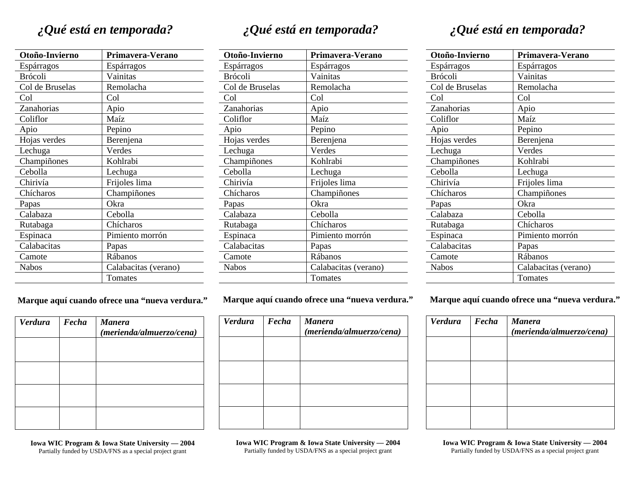# *¿Qué está en temporada?*

| Otoño-Invierno  | Primavera-Verano     |
|-----------------|----------------------|
| Espárragos      | Espárragos           |
| <b>Brócoli</b>  | Vainitas             |
| Col de Bruselas | Remolacha            |
| Col             | Col                  |
| Zanahorias      | Apio                 |
| Coliflor        | Maíz                 |
| Apio            | Pepino               |
| Hojas verdes    | Berenjena            |
| Lechuga         | Verdes               |
| Champiñones     | Kohlrabi             |
| Cebolla         | Lechuga              |
| Chirivía        | Frijoles lima        |
| Chícharos       | Champiñones          |
| Papas           | Okra                 |
| Calabaza        | Cebolla              |
| Rutabaga        | Chícharos            |
| Espinaca        | Pimiento morrón      |
| Calabacitas     | Papas                |
| Camote          | Rábanos              |
| <b>Nabos</b>    | Calabacitas (verano) |
|                 | Tomates              |

| Fecha | <b>Manera</b><br>(merienda/almuerzo/cena) |
|-------|-------------------------------------------|
|       |                                           |
|       |                                           |
|       |                                           |
|       |                                           |

**Marque aquí cuando ofrece una "nueva verdura."** 

**Iowa WIC Program & Iowa State University — 2004**  Partially funded by USDA/FNS as a special project grant

*¿Qué está en temporada?* 

| Otoño-Invierno  | Primavera-Verano     |
|-----------------|----------------------|
| Espárragos      | Espárragos           |
| <b>Brócoli</b>  | Vainitas             |
| Col de Bruselas | Remolacha            |
| Col             | Col                  |
| Zanahorias      | Apio                 |
| Coliflor        | Maíz                 |
| Apio            | Pepino               |
| Hojas verdes    | Berenjena            |
| Lechuga         | Verdes               |
| Champiñones     | Kohlrabi             |
| Cebolla         | Lechuga              |
| Chirivía        | Frijoles lima        |
| Chícharos       | Champiñones          |
| Papas           | Okra                 |
| Calabaza        | Cebolla              |
| Rutabaga        | Chícharos            |
| Espinaca        | Pimiento morrón      |
| Calabacitas     | Papas                |
| Camote          | Rábanos              |
| <b>Nabos</b>    | Calabacitas (verano) |
|                 | Tomates              |

#### **Marque aquí cuando ofrece una "nueva verdura."**

| <b>Verdura</b> | Fecha | <b>Manera</b><br>(merienda/almuerzo/cena) |
|----------------|-------|-------------------------------------------|
|                |       |                                           |
|                |       |                                           |
|                |       |                                           |
|                |       |                                           |

**Iowa WIC Program & Iowa State University — 2004**  Partially funded by USDA/FNS as a special project grant

# *¿Qué está en temporada?*

| Otoño-Invierno  | Primavera-Verano     |
|-----------------|----------------------|
| Espárragos      | Espárragos           |
| Brócoli         | Vainitas             |
| Col de Bruselas | Remolacha            |
| Col             | Col                  |
| Zanahorias      | Apio                 |
| Coliflor        | Maíz                 |
| Apio            | Pepino               |
| Hojas verdes    | Berenjena            |
| Lechuga         | Verdes               |
| Champiñones     | Kohlrabi             |
| Cebolla         | Lechuga              |
| Chirivía        | Frijoles lima        |
| Chícharos       | Champiñones          |
| Papas           | Okra                 |
| Calabaza        | Cebolla              |
| Rutabaga        | Chícharos            |
| Espinaca        | Pimiento morrón      |
| Calabacitas     | Papas                |
| Camote          | Rábanos              |
| <b>Nabos</b>    | Calabacitas (verano) |
|                 | Tomates              |

**Marque aquí cuando ofrece una "nueva verdura."** 

| Verdura | Fecha | <b>Manera</b><br>(merienda/almuerzo/cena) |
|---------|-------|-------------------------------------------|
|         |       |                                           |
|         |       |                                           |
|         |       |                                           |
|         |       |                                           |

**Iowa WIC Program & Iowa State University — 2004**  Partially funded by USDA/FNS as a special project grant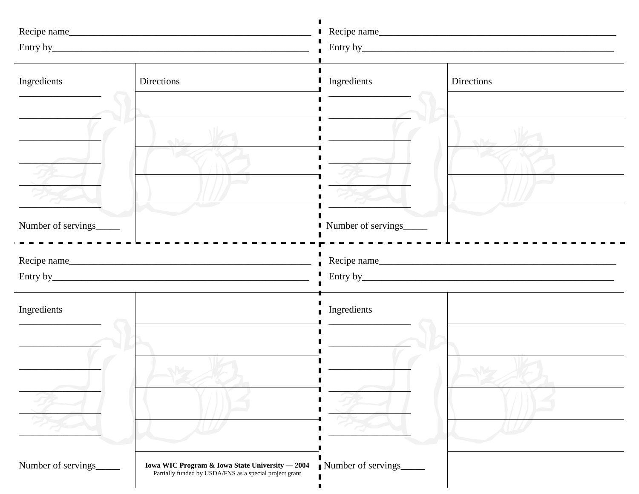| Ingredients         | Directions                                                                                                 | Ingredients        | Directions |
|---------------------|------------------------------------------------------------------------------------------------------------|--------------------|------------|
| Number of servings_ |                                                                                                            | Number of servings |            |
|                     |                                                                                                            |                    |            |
|                     |                                                                                                            |                    |            |
| Ingredients         |                                                                                                            | Ingredients        |            |
| Number of servings  | Iowa WIC Program & Iowa State University - 2004<br>Partially funded by USDA/FNS as a special project grant | Number of servings |            |